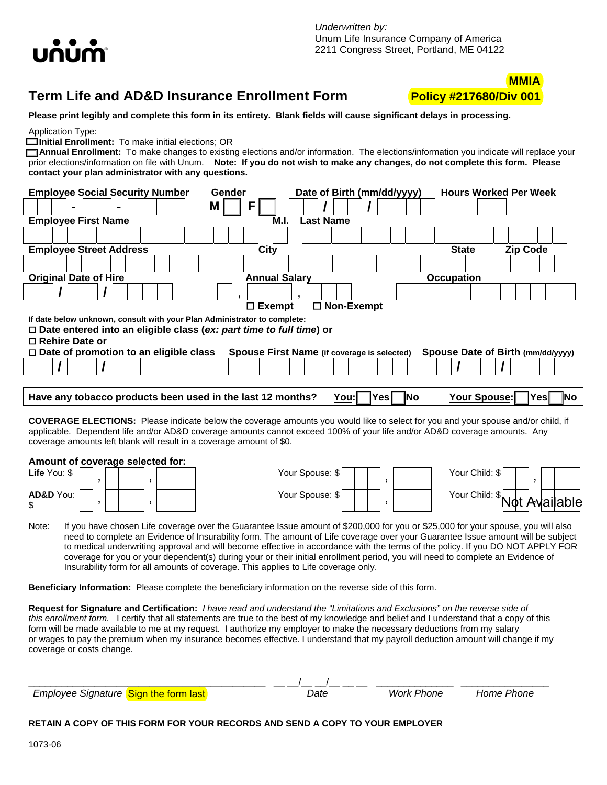

# **Term Life and AD&D Insurance Enrollment Form Policy #217680/Div 001**



**Please print legibly and complete this form in its entirety. Blank fields will cause significant delays in processing.** 

Application Type:

**Initial Enrollment:** To make initial elections; OR

 **Annual Enrollment:** To make changes to existing elections and/or information. The elections/information you indicate will replace your prior elections/information on file with Unum. **Note: If you do not wish to make any changes, do not complete this form. Please contact your plan administrator with any questions.**

| <b>Employee Social Security Number</b>                                     | Gender               | Date of Birth (mm/dd/yyyy)                  | <b>Hours Worked Per Week</b>      |
|----------------------------------------------------------------------------|----------------------|---------------------------------------------|-----------------------------------|
| $\overline{\phantom{0}}$<br>۰                                              | М<br>F               |                                             |                                   |
| <b>Employee First Name</b>                                                 | M.I.                 | Last Name                                   |                                   |
|                                                                            |                      |                                             |                                   |
| <b>Employee Street Address</b>                                             | City                 |                                             | <b>Zip Code</b><br><b>State</b>   |
|                                                                            |                      |                                             |                                   |
| <b>Original Date of Hire</b>                                               | <b>Annual Salary</b> |                                             | <b>Occupation</b>                 |
|                                                                            |                      |                                             |                                   |
|                                                                            | $\Box$ Exempt        | $\Box$ Non-Exempt                           |                                   |
| If date below unknown, consult with your Plan Administrator to complete:   |                      |                                             |                                   |
| $\Box$ Date entered into an eligible class (ex: part time to full time) or |                      |                                             |                                   |
| $\Box$ Rehire Date or                                                      |                      |                                             |                                   |
| $\Box$ Date of promotion to an eligible class                              |                      | Spouse First Name (if coverage is selected) | Spouse Date of Birth (mm/dd/yyyy) |
|                                                                            |                      |                                             |                                   |
|                                                                            |                      |                                             |                                   |
| Have any tobacco products been used in the last 12 months?                 |                      | You: <br><b>INo</b><br>،Yes⊫                | Your Spouse:<br>lNo<br>Yesl       |

**COVERAGE ELECTIONS:** Please indicate below the coverage amounts you would like to select for you and your spouse and/or child, if applicable. Dependent life and/or AD&D coverage amounts cannot exceed 100% of your life and/or AD&D coverage amounts. Any coverage amounts left blank will result in a coverage amount of \$0.

## **Amount of coverage selected for:**

| $LHe$ TOU. $\phi$ |  |  |  |  | i uui opuuse. v |  |  |  | <b>TUUL UIIIIU.</b> JI     |     |    |  |
|-------------------|--|--|--|--|-----------------|--|--|--|----------------------------|-----|----|--|
| AD&D You:         |  |  |  |  | Your Spouse: \$ |  |  |  | Your Child:<br>ົົ<br>. Փահ |     | Δ. |  |
|                   |  |  |  |  |                 |  |  |  |                            | NOL |    |  |

| Amount or coverage selected for: |  |  |  |  |  |  |  |  |  |                 |                   |
|----------------------------------|--|--|--|--|--|--|--|--|--|-----------------|-------------------|
| Life You: \$                     |  |  |  |  |  |  |  |  |  | Your Spouse: \$ | Your Child: \$    |
|                                  |  |  |  |  |  |  |  |  |  |                 |                   |
| AD&D You:                        |  |  |  |  |  |  |  |  |  | Your Spouse: \$ | Your Child:<br>Λ. |
|                                  |  |  |  |  |  |  |  |  |  |                 |                   |



Note: If you have chosen Life coverage over the Guarantee Issue amount of \$200,000 for you or \$25,000 for your spouse, you will also need to complete an Evidence of Insurability form. The amount of Life coverage over your Guarantee Issue amount will be subject to medical underwriting approval and will become effective in accordance with the terms of the policy. If you DO NOT APPLY FOR coverage for you or your dependent(s) during your or their initial enrollment period, you will need to complete an Evidence of Insurability form for all amounts of coverage. This applies to Life coverage only.

**Beneficiary Information:** Please complete the beneficiary information on the reverse side of this form.

**Request for Signature and Certification:** *I have read and understand the "Limitations and Exclusions" on the reverse side of this enrollment form.* I certify that all statements are true to the best of my knowledge and belief and I understand that a copy of this form will be made available to me at my request. I authorize my employer to make the necessary deductions from my salary or wages to pay the premium when my insurance becomes effective. I understand that my payroll deduction amount will change if my coverage or costs change.

| Employee Signature Sign the form last | Date | Work Phone | Home Phone |
|---------------------------------------|------|------------|------------|
|                                       |      |            |            |

### **RETAIN A COPY OF THIS FORM FOR YOUR RECORDS AND SEND A COPY TO YOUR EMPLOYER**